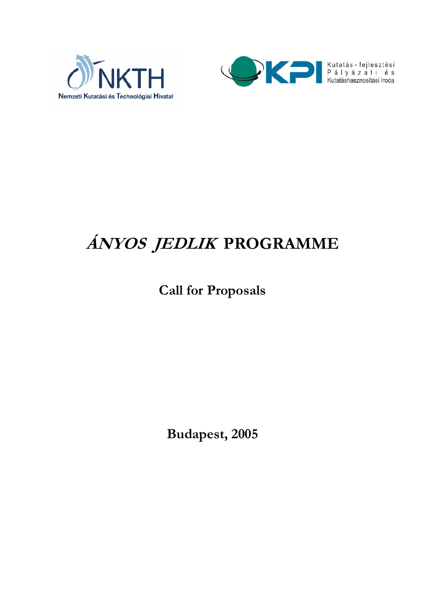



# **ÁNYOS JEDLIK PROGRAMME**

# **Call for Proposals**

**Budapest, 2005**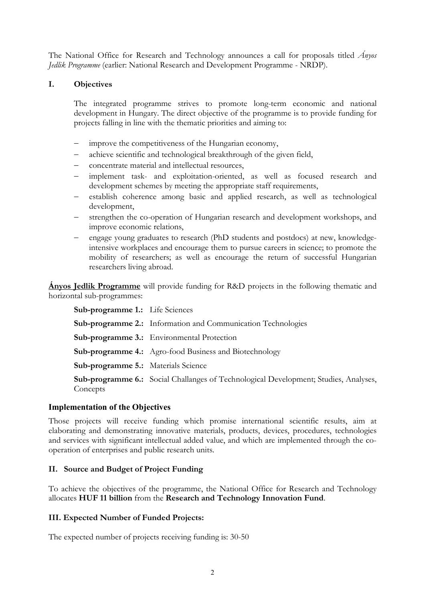The National Office for Research and Technology announces a call for proposals titled *Ányos Jedlik Programme* (earlier: National Research and Development Programme - NRDP).

#### **I. Objectives**

The integrated programme strives to promote long-term economic and national development in Hungary. The direct objective of the programme is to provide funding for projects falling in line with the thematic priorities and aiming to:

- improve the competitiveness of the Hungarian economy,
- achieve scientific and technological breakthrough of the given field,
- concentrate material and intellectual resources,
- implement task- and exploitation-oriented, as well as focused research and development schemes by meeting the appropriate staff requirements,
- establish coherence among basic and applied research, as well as technological development,
- strengthen the co-operation of Hungarian research and development workshops, and improve economic relations,
- engage young graduates to research (PhD students and postdocs) at new, knowledgeintensive workplaces and encourage them to pursue careers in science; to promote the mobility of researchers; as well as encourage the return of successful Hungarian researchers living abroad.

**Ányos Jedlik Programme** will provide funding for R&D projects in the following thematic and horizontal sub-programmes:

**Sub-programme 1.:** Life Sciences **Sub-programme 2.:** Information and Communication Technologies **Sub-programme 3.:** Environmental Protection **Sub-programme 4.:** Agro-food Business and Biotechnology **Sub-programme 5.:** Materials Science  **Sub-programme 6.:** Social Challanges of Technological Development; Studies, Analyses, **Concepts** 

#### **Implementation of the Objectives**

Those projects will receive funding which promise international scientific results, aim at elaborating and demonstrating innovative materials, products, devices, procedures, technologies and services with significant intellectual added value, and which are implemented through the cooperation of enterprises and public research units.

#### **II. Source and Budget of Project Funding**

To achieve the objectives of the programme, the National Office for Research and Technology allocates **HUF 11 billion** from the **Research and Technology Innovation Fund**.

#### **III. Expected Number of Funded Projects:**

The expected number of projects receiving funding is: 30-50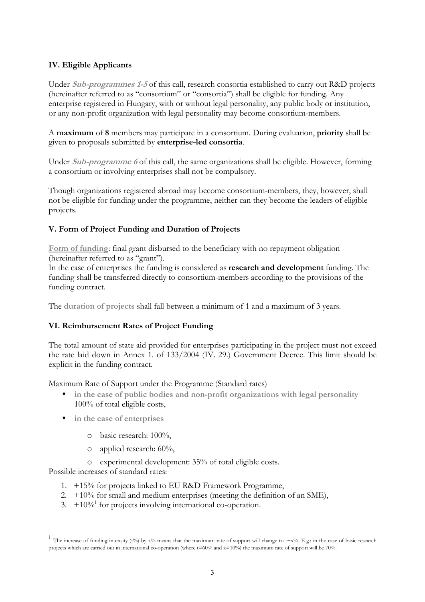# **IV. Eligible Applicants**

Under **Sub-programmes 1-5** of this call, research consortia established to carry out R&D projects (hereinafter referred to as "consortium" or "consortia") shall be eligible for funding. Any enterprise registered in Hungary, with or without legal personality, any public body or institution, or any non-profit organization with legal personality may become consortium-members.

A **maximum** of **8** members may participate in a consortium. During evaluation, **priority** shall be given to proposals submitted by **enterprise-led consortia**.

Under **Sub-programme 6** of this call, the same organizations shall be eligible. However, forming a consortium or involving enterprises shall not be compulsory.

Though organizations registered abroad may become consortium-members, they, however, shall not be eligible for funding under the programme, neither can they become the leaders of eligible projects.

# **V. Form of Project Funding and Duration of Projects**

**Form of funding**: final grant disbursed to the beneficiary with no repayment obligation (hereinafter referred to as "grant").

In the case of enterprises the funding is considered as **research and development** funding. The funding shall be transferred directly to consortium-members according to the provisions of the funding contract.

The **duration of projects** shall fall between a minimum of 1 and a maximum of 3 years.

# **VI. Reimbursement Rates of Project Funding**

The total amount of state aid provided for enterprises participating in the project must not exceed the rate laid down in Annex 1. of 133/2004 (IV. 29.) Government Decree. This limit should be explicit in the funding contract.

Maximum Rate of Support under the Programme (Standard rates)

- in the case of public bodies and non-profit organizations with legal personality 100% of total eligible costs,
- **in the case of enterprises**
	- o basic research: 100%,
	- o applied research: 60%,
	- o experimental development: 35% of total eligible costs.

Possible increases of standard rates:

- 1. +15% for projects linked to EU R&D Framework Programme,
- 2.  $+10\%$  for small and medium enterprises (meeting the definition of an SME),
- 3.  $+10\%$ <sup>1</sup> for projects involving international co-operation.

The increase of funding intensity (t%) by  $x$ % means that the maximum rate of support will change to t+x%. E.g.: in the case of basic research projects which are carried out in international co-operation (where t=60% and x=10%) the maximum rate of support will be 70%.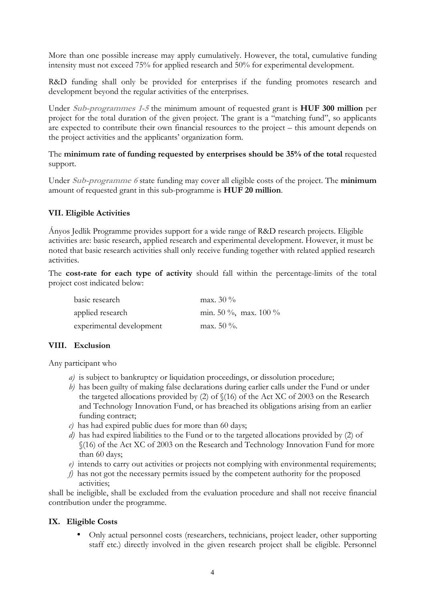More than one possible increase may apply cumulatively. However, the total, cumulative funding intensity must not exceed 75% for applied research and 50% for experimental development.

R&D funding shall only be provided for enterprises if the funding promotes research and development beyond the regular activities of the enterprises.

Under **Sub-programmes 1-5** the minimum amount of requested grant is **HUF 300 million** per project for the total duration of the given project. The grant is a "matching fund", so applicants are expected to contribute their own financial resources to the project – this amount depends on the project activities and the applicants' organization form.

The **minimum rate of funding requested by enterprises should be 35% of the total** requested support.

Under **Sub-programme 6** state funding may cover all eligible costs of the project. The **minimum** amount of requested grant in this sub-programme is **HUF 20 million**.

#### **VII. Eligible Activities**

Ányos Jedlik Programme provides support for a wide range of R&D research projects. Eligible activities are: basic research, applied research and experimental development. However, it must be noted that basic research activities shall only receive funding together with related applied research activities.

The **cost-rate for each type of activity** should fall within the percentage-limits of the total project cost indicated below:

| basic research           | max. $30\%$           |
|--------------------------|-----------------------|
| applied research         | min. 50 %, max. 100 % |
| experimental development | max. 50 $\%$ .        |

#### **VIII. Exclusion**

Any participant who

- *a)* is subject to bankruptcy or liquidation proceedings, or dissolution procedure;
- *b)* has been guilty of making false declarations during earlier calls under the Fund or under the targeted allocations provided by (2) of §(16) of the Act XC of 2003 on the Research and Technology Innovation Fund, or has breached its obligations arising from an earlier funding contract;
- *c)* has had expired public dues for more than 60 days;
- *d)* has had expired liabilities to the Fund or to the targeted allocations provided by (2) of §(16) of the Act XC of 2003 on the Research and Technology Innovation Fund for more than 60 days;
- *e)* intends to carry out activities or projects not complying with environmental requirements;
- *f)* has not got the necessary permits issued by the competent authority for the proposed activities;

shall be ineligible, shall be excluded from the evaluation procedure and shall not receive financial contribution under the programme.

#### **IX. Eligible Costs**

• Only actual personnel costs (researchers, technicians, project leader, other supporting staff etc.) directly involved in the given research project shall be eligible. Personnel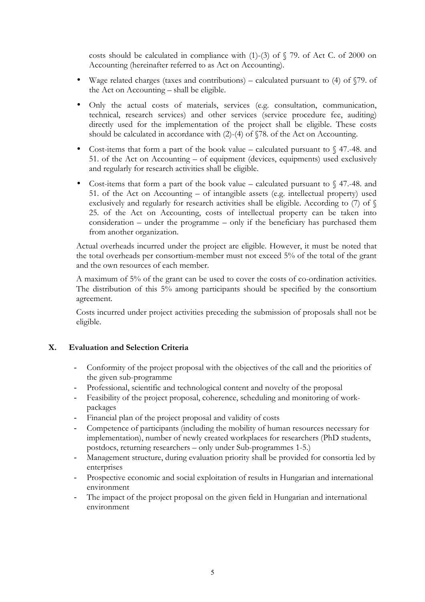costs should be calculated in compliance with  $(1)-(3)$  of  $\sqrt{5}$  79. of Act C. of 2000 on Accounting (hereinafter referred to as Act on Accounting).

- Wage related charges (taxes and contributions) calculated pursuant to  $(4)$  of  $\S79$ . of the Act on Accounting – shall be eligible.
- Only the actual costs of materials, services (e.g. consultation, communication, technical, research services) and other services (service procedure fee, auditing) directly used for the implementation of the project shall be eligible. These costs should be calculated in accordance with (2)-(4) of §78. of the Act on Accounting.
- Cost-items that form a part of the book value calculated pursuant to  $\S$  47.-48. and 51. of the Act on Accounting – of equipment (devices, equipments) used exclusively and regularly for research activities shall be eligible.
- Cost-items that form a part of the book value calculated pursuant to  $\sqrt{47}$ . 48. and 51. of the Act on Accounting – of intangible assets (e.g. intellectual property) used exclusively and regularly for research activities shall be eligible. According to (7) of  $\S$ 25. of the Act on Accounting, costs of intellectual property can be taken into consideration – under the programme – only if the beneficiary has purchased them from another organization.

Actual overheads incurred under the project are eligible. However, it must be noted that the total overheads per consortium-member must not exceed 5% of the total of the grant and the own resources of each member.

A maximum of 5% of the grant can be used to cover the costs of co-ordination activities. The distribution of this 5% among participants should be specified by the consortium agreement.

Costs incurred under project activities preceding the submission of proposals shall not be eligible.

#### **X. Evaluation and Selection Criteria**

- Conformity of the project proposal with the objectives of the call and the priorities of the given sub-programme
- Professional, scientific and technological content and novelty of the proposal
- Feasibility of the project proposal, coherence, scheduling and monitoring of workpackages
- Financial plan of the project proposal and validity of costs
- Competence of participants (including the mobility of human resources necessary for implementation), number of newly created workplaces for researchers (PhD students, postdocs, returning researchers – only under Sub-programmes 1-5.)
- Management structure, during evaluation priority shall be provided for consortia led by enterprises
- Prospective economic and social exploitation of results in Hungarian and international environment
- The impact of the project proposal on the given field in Hungarian and international environment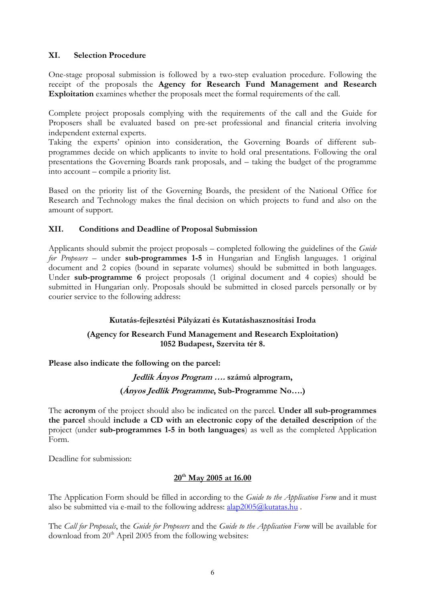#### **XI. Selection Procedure**

One-stage proposal submission is followed by a two-step evaluation procedure. Following the receipt of the proposals the **Agency for Research Fund Management and Research Exploitation** examines whether the proposals meet the formal requirements of the call.

Complete project proposals complying with the requirements of the call and the Guide for Proposers shall be evaluated based on pre-set professional and financial criteria involving independent external experts.

Taking the experts' opinion into consideration, the Governing Boards of different subprogrammes decide on which applicants to invite to hold oral presentations. Following the oral presentations the Governing Boards rank proposals, and – taking the budget of the programme into account – compile a priority list.

Based on the priority list of the Governing Boards, the president of the National Office for Research and Technology makes the final decision on which projects to fund and also on the amount of support.

## **XII. Conditions and Deadline of Proposal Submission**

Applicants should submit the project proposals – completed following the guidelines of the *Guide for Proposers* – under **sub-programmes 1-5** in Hungarian and English languages. 1 original document and 2 copies (bound in separate volumes) should be submitted in both languages. Under **sub-programme 6** project proposals (1 original document and 4 copies) should be submitted in Hungarian only. Proposals should be submitted in closed parcels personally or by courier service to the following address:

# **Kutatás-fejlesztési Pályázati és Kutatáshasznosítási Iroda**

## **(Agency for Research Fund Management and Research Exploitation) 1052 Budapest, Szervita tér 8.**

**Please also indicate the following on the parcel:** 

**Jedlik Ányos Program …. számú alprogram, (Ányos Jedlik Programme, Sub-Programme No….)** 

The **acronym** of the project should also be indicated on the parcel. **Under all sub-programmes the parcel** should **include a CD with an electronic copy of the detailed description** of the project (under **sub-programmes 1-5 in both languages**) as well as the completed Application Form.

Deadline for submission:

#### **20th May 2005 at 16.00**

The Application Form should be filled in according to the *Guide to the Application Form* and it must also be submitted via e-mail to the following address:  $alap2005@kutatas.hu$ .

The *Call for Proposals*, the *Guide for Proposers* and the *Guide to the Application Form* will be available for download from  $20<sup>th</sup>$  April 2005 from the following websites: